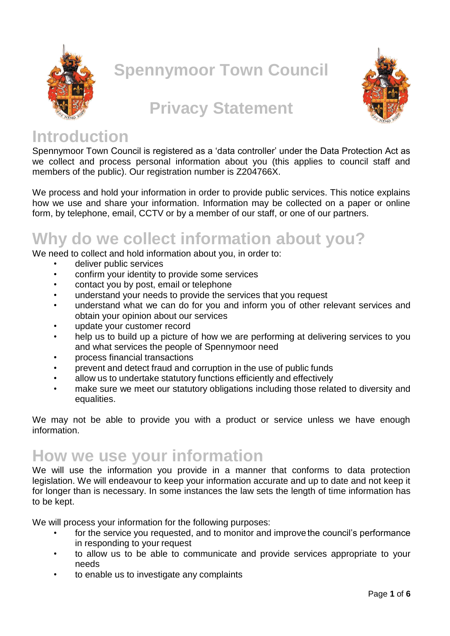

**Spennymoor Town Council**



## **Privacy Statement**

### **Introduction**

Spennymoor Town Council is registered as a 'data controller' under the Data Protection Act as we collect and process personal information about you (this applies to council staff and members of the public). Our registration number is Z204766X.

We process and hold your information in order to provide public services. This notice explains how we use and share your information. Information may be collected on a paper or online form, by telephone, email, CCTV or by a member of our staff, or one of our partners.

# **Why do we collect information about you?**

We need to collect and hold information about you, in order to:

- deliver public services
- confirm your identity to provide some services
- contact you by post, email or telephone
- understand your needs to provide the services that you request
- understand what we can do for you and inform you of other relevant services and obtain your opinion about our services
- update your customer record
- help us to build up a picture of how we are performing at delivering services to you and what services the people of Spennymoor need
- process financial transactions
- prevent and detect fraud and corruption in the use of public funds
- allow us to undertake statutory functions efficiently and effectively
- make sure we meet our statutory obligations including those related to diversity and equalities.

We may not be able to provide you with a product or service unless we have enough information.

## **How we use your information**

We will use the information you provide in a manner that conforms to data protection legislation. We will endeavour to keep your information accurate and up to date and not keep it for longer than is necessary. In some instances the law sets the length of time information has to be kept.

We will process your information for the following purposes:

- for the service you requested, and to monitor and improve the council's performance in responding to your request
- to allow us to be able to communicate and provide services appropriate to your needs
- to enable us to investigate any complaints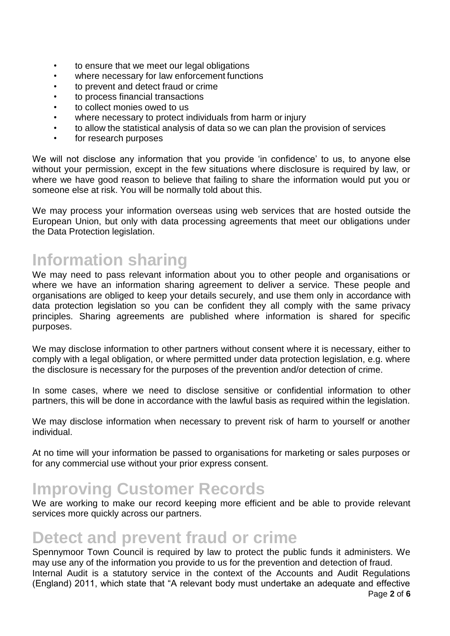- to ensure that we meet our legal obligations
- where necessary for law enforcement functions
- to prevent and detect fraud or crime
- to process financial transactions
- to collect monies owed to us
- where necessary to protect individuals from harm or injury
- to allow the statistical analysis of data so we can plan the provision of services
- for research purposes

We will not disclose any information that you provide 'in confidence' to us, to anyone else without your permission, except in the few situations where disclosure is required by law, or where we have good reason to believe that failing to share the information would put you or someone else at risk. You will be normally told about this.

We may process your information overseas using web services that are hosted outside the European Union, but only with data processing agreements that meet our obligations under the Data Protection legislation.

# **Information sharing**

We may need to pass relevant information about you to other people and organisations or where we have an information sharing agreement to deliver a service. These people and organisations are obliged to keep your details securely, and use them only in accordance with data protection legislation so you can be confident they all comply with the same privacy principles. Sharing agreements are published where information is shared for specific purposes.

We may disclose information to other partners without consent where it is necessary, either to comply with a legal obligation, or where permitted under data protection legislation, e.g. where the disclosure is necessary for the purposes of the prevention and/or detection of crime.

In some cases, where we need to disclose sensitive or confidential information to other partners, this will be done in accordance with the lawful basis as required within the legislation.

We may disclose information when necessary to prevent risk of harm to yourself or another individual.

At no time will your information be passed to organisations for marketing or sales purposes or for any commercial use without your prior express consent.

## **Improving Customer Records**

We are working to make our record keeping more efficient and be able to provide relevant services more quickly across our partners.

### **Detect and prevent fraud or crime**

Spennymoor Town Council is required by law to protect the public funds it administers. We may use any of the information you provide to us for the prevention and detection of fraud. Internal Audit is a statutory service in the context of the Accounts and Audit Regulations (England) 2011, which state that "A relevant body must undertake an adequate and effective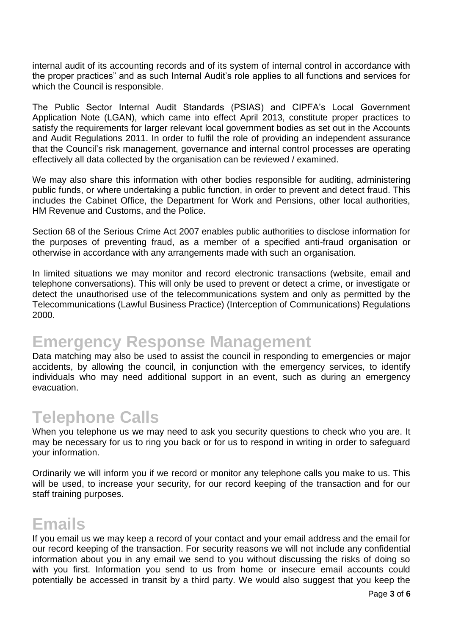internal audit of its accounting records and of its system of internal control in accordance with the proper practices" and as such Internal Audit's role applies to all functions and services for which the Council is responsible.

The Public Sector Internal Audit Standards (PSIAS) and CIPFA's Local Government Application Note (LGAN), which came into effect April 2013, constitute proper practices to satisfy the requirements for larger relevant local government bodies as set out in the Accounts and Audit Regulations 2011. In order to fulfil the role of providing an independent assurance that the Council's risk management, governance and internal control processes are operating effectively all data collected by the organisation can be reviewed / examined.

We may also share this information with other bodies responsible for auditing, administering public funds, or where undertaking a public function, in order to prevent and detect fraud. This includes the Cabinet Office, the Department for Work and Pensions, other local authorities, HM Revenue and Customs, and the Police.

Section 68 of the Serious Crime Act 2007 enables public authorities to disclose information for the purposes of preventing fraud, as a member of a specified anti-fraud organisation or otherwise in accordance with any arrangements made with such an organisation.

In limited situations we may monitor and record electronic transactions (website, email and telephone conversations). This will only be used to prevent or detect a crime, or investigate or detect the unauthorised use of the telecommunications system and only as permitted by the Telecommunications (Lawful Business Practice) (Interception of Communications) Regulations 2000.

## **Emergency Response Management**

Data matching may also be used to assist the council in responding to emergencies or major accidents, by allowing the council, in conjunction with the emergency services, to identify individuals who may need additional support in an event, such as during an emergency evacuation.

### **Telephone Calls**

When you telephone us we may need to ask you security questions to check who you are. It may be necessary for us to ring you back or for us to respond in writing in order to safeguard your information.

Ordinarily we will inform you if we record or monitor any telephone calls you make to us. This will be used, to increase your security, for our record keeping of the transaction and for our staff training purposes.

## **Emails**

If you email us we may keep a record of your contact and your email address and the email for our record keeping of the transaction. For security reasons we will not include any confidential information about you in any email we send to you without discussing the risks of doing so with you first. Information you send to us from home or insecure email accounts could potentially be accessed in transit by a third party. We would also suggest that you keep the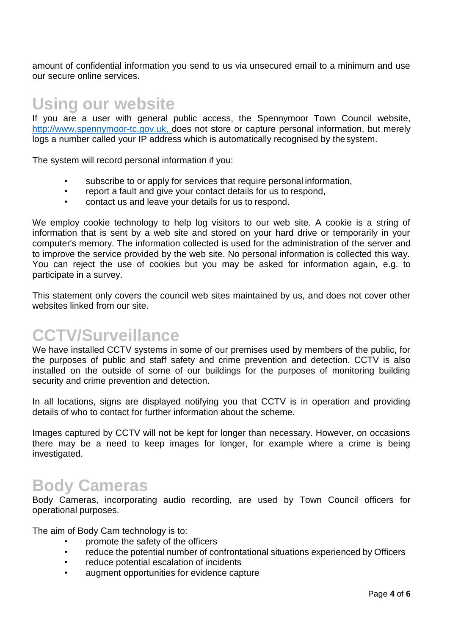amount of confidential information you send to us via unsecured email to a minimum and use our secure online services.

#### **Using our website**

If you are a user with general public access, the Spennymoor Town Council website, [http://www.spennymoor-tc.gov.uk,](http://www.spennymoor-tc.gov.uk,/) does not store or capture personal information, but merely logs a number called your IP address which is automatically recognised by thesystem.

The system will record personal information if you:

- subscribe to or apply for services that require personal information,
- report a fault and give your contact details for us to respond,
- contact us and leave your details for us to respond.

We employ cookie technology to help log visitors to our web site. A cookie is a string of information that is sent by a web site and stored on your hard drive or temporarily in your computer's memory. The information collected is used for the administration of the server and to improve the service provided by the web site. No personal information is collected this way. You can reject the use of cookies but you may be asked for information again, e.g. to participate in a survey.

This statement only covers the council web sites maintained by us, and does not cover other websites linked from our site.

### **CCTV/Surveillance**

We have installed CCTV systems in some of our premises used by members of the public, for the purposes of public and staff safety and crime prevention and detection. CCTV is also installed on the outside of some of our buildings for the purposes of monitoring building security and crime prevention and detection.

In all locations, signs are displayed notifying you that CCTV is in operation and providing details of who to contact for further information about the scheme.

Images captured by CCTV will not be kept for longer than necessary. However, on occasions there may be a need to keep images for longer, for example where a crime is being investigated.

#### **Body Cameras**

Body Cameras, incorporating audio recording, are used by Town Council officers for operational purposes.

The aim of Body Cam technology is to:

- promote the safety of the officers
- reduce the potential number of confrontational situations experienced by Officers
- reduce potential escalation of incidents
- augment opportunities for evidence capture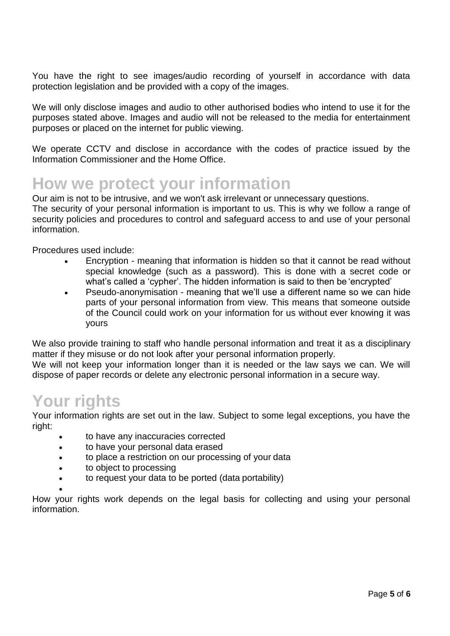You have the right to see images/audio recording of yourself in accordance with data protection legislation and be provided with a copy of the images.

We will only disclose images and audio to other authorised bodies who intend to use it for the purposes stated above. Images and audio will not be released to the media for entertainment purposes or placed on the internet for public viewing.

We operate CCTV and disclose in accordance with the codes of practice issued by the Information Commissioner and the Home Office.

## **How we protect your information**

Our aim is not to be intrusive, and we won't ask irrelevant or unnecessary questions. The security of your personal information is important to us. This is why we follow a range of security policies and procedures to control and safeguard access to and use of your personal information.

Procedures used include:

- Encryption meaning that information is hidden so that it cannot be read without special knowledge (such as a password). This is done with a secret code or what's called a 'cypher'. The hidden information is said to then be 'encrypted'
- Pseudo-anonymisation meaning that we'll use a different name so we can hide parts of your personal information from view. This means that someone outside of the Council could work on your information for us without ever knowing it was yours

We also provide training to staff who handle personal information and treat it as a disciplinary matter if they misuse or do not look after your personal information properly.

We will not keep your information longer than it is needed or the law says we can. We will dispose of paper records or delete any electronic personal information in a secure way.

#### **Your rights**

Your information rights are set out in the law. Subject to some legal exceptions, you have the right:

- to have any inaccuracies corrected
- to have your personal data erased
- to place a restriction on our processing of your data
- to object to processing
- to request your data to be ported (data portability)
- $\bullet$

How your rights work depends on the legal basis for collecting and using your personal information.